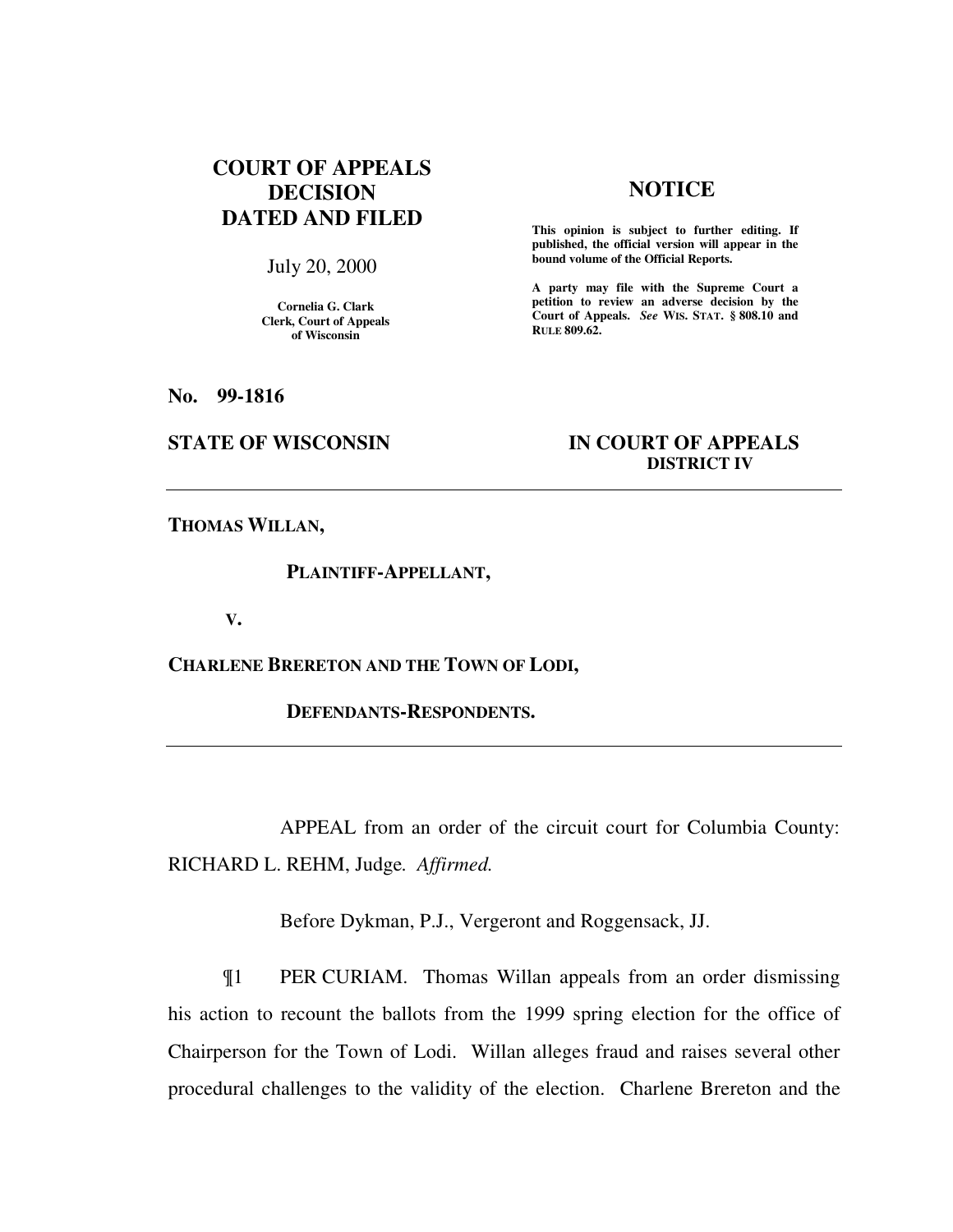# **COURT OF APPEALS DECISION DATED AND FILED**

July 20, 2000

**Cornelia G. Clark Clerk, Court of Appeals of Wisconsin** 

# **NOTICE**

**This opinion is subject to further editing. If published, the official version will appear in the bound volume of the Official Reports.**

**A party may file with the Supreme Court a petition to review an adverse decision by the Court of Appeals.** *See* **WIS. STAT. § 808.10 and RULE 809.62.** 

**No. 99-1816** 

# **STATE OF WISCONSIN IN COURT OF APPEALS DISTRICT IV**

**THOMAS WILLAN,** 

### **PLAINTIFF-APPELLANT,**

 **V.** 

**CHARLENE BRERETON AND THE TOWN OF LODI,** 

 **DEFENDANTS-RESPONDENTS.** 

APPEAL from an order of the circuit court for Columbia County: RICHARD L. REHM, Judge*. Affirmed.*

Before Dykman, P.J., Vergeront and Roggensack, JJ.

¶1 PER CURIAM. Thomas Willan appeals from an order dismissing his action to recount the ballots from the 1999 spring election for the office of Chairperson for the Town of Lodi. Willan alleges fraud and raises several other procedural challenges to the validity of the election. Charlene Brereton and the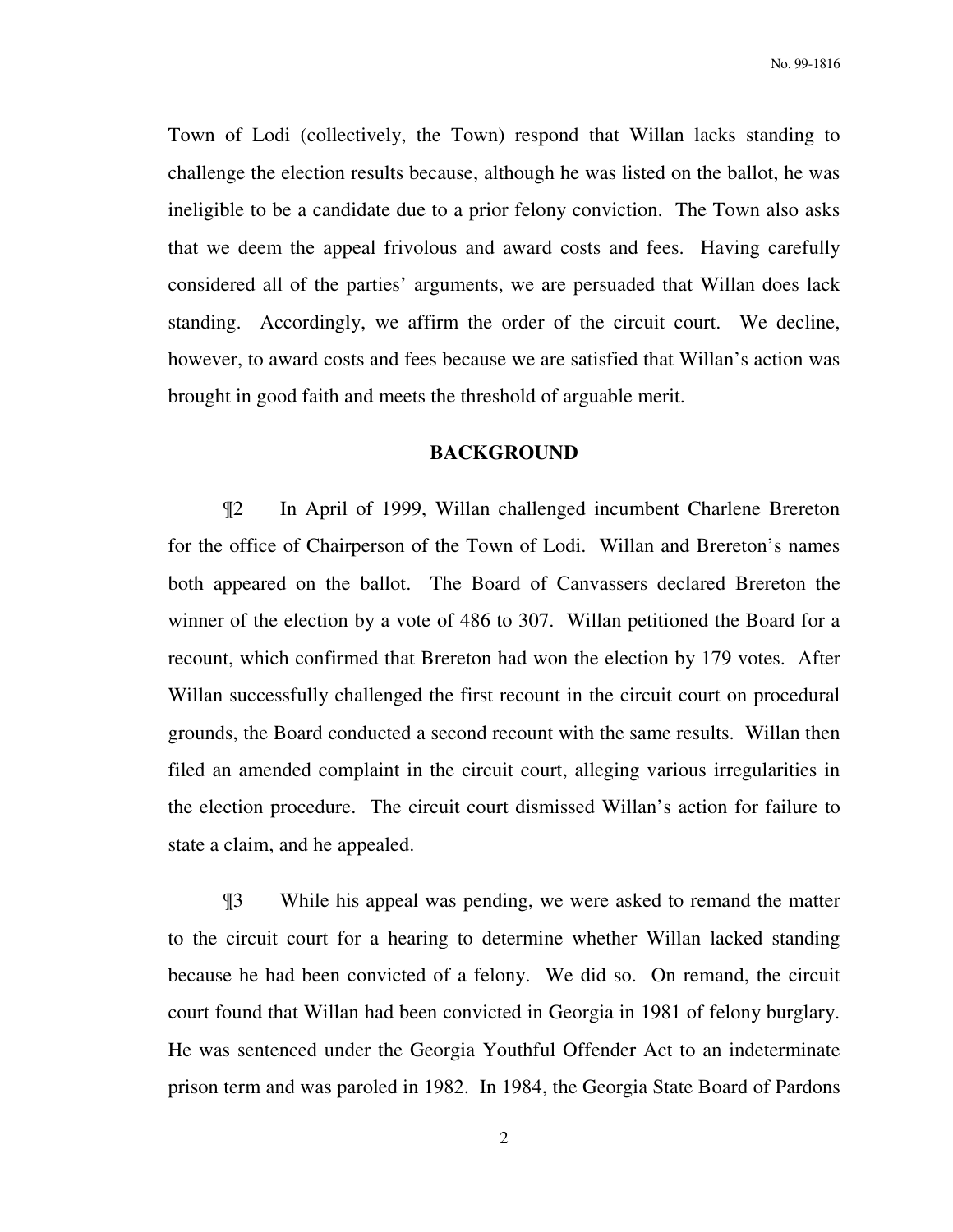No. 99-1816

Town of Lodi (collectively, the Town) respond that Willan lacks standing to challenge the election results because, although he was listed on the ballot, he was ineligible to be a candidate due to a prior felony conviction. The Town also asks that we deem the appeal frivolous and award costs and fees. Having carefully considered all of the parties' arguments, we are persuaded that Willan does lack standing. Accordingly, we affirm the order of the circuit court. We decline, however, to award costs and fees because we are satisfied that Willan's action was brought in good faith and meets the threshold of arguable merit.

# **BACKGROUND**

¶2 In April of 1999, Willan challenged incumbent Charlene Brereton for the office of Chairperson of the Town of Lodi. Willan and Brereton's names both appeared on the ballot. The Board of Canvassers declared Brereton the winner of the election by a vote of 486 to 307. Willan petitioned the Board for a recount, which confirmed that Brereton had won the election by 179 votes. After Willan successfully challenged the first recount in the circuit court on procedural grounds, the Board conducted a second recount with the same results. Willan then filed an amended complaint in the circuit court, alleging various irregularities in the election procedure. The circuit court dismissed Willan's action for failure to state a claim, and he appealed.

¶3 While his appeal was pending, we were asked to remand the matter to the circuit court for a hearing to determine whether Willan lacked standing because he had been convicted of a felony. We did so. On remand, the circuit court found that Willan had been convicted in Georgia in 1981 of felony burglary. He was sentenced under the Georgia Youthful Offender Act to an indeterminate prison term and was paroled in 1982. In 1984, the Georgia State Board of Pardons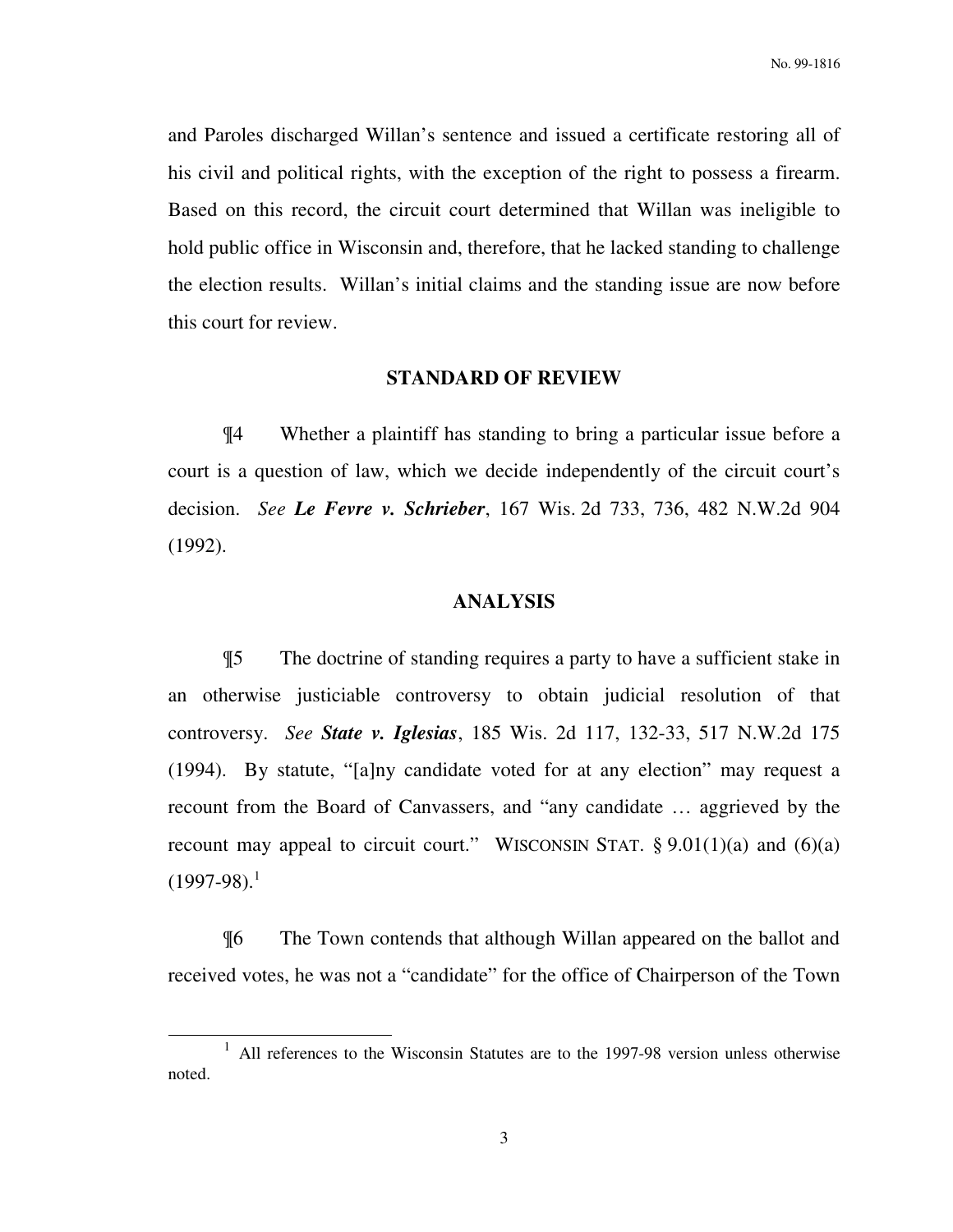and Paroles discharged Willan's sentence and issued a certificate restoring all of his civil and political rights, with the exception of the right to possess a firearm. Based on this record, the circuit court determined that Willan was ineligible to hold public office in Wisconsin and, therefore, that he lacked standing to challenge the election results. Willan's initial claims and the standing issue are now before this court for review.

# **STANDARD OF REVIEW**

¶4 Whether a plaintiff has standing to bring a particular issue before a court is a question of law, which we decide independently of the circuit court's decision. *See Le Fevre v. Schrieber*, 167 Wis. 2d 733, 736, 482 N.W.2d 904 (1992).

# **ANALYSIS**

¶5 The doctrine of standing requires a party to have a sufficient stake in an otherwise justiciable controversy to obtain judicial resolution of that controversy. *See State v. Iglesias*, 185 Wis. 2d 117, 132-33, 517 N.W.2d 175 (1994). By statute, "[a]ny candidate voted for at any election" may request a recount from the Board of Canvassers, and "any candidate … aggrieved by the recount may appeal to circuit court." WISCONSIN STAT.  $\S 9.01(1)(a)$  and  $(6)(a)$  $(1997-98).$ <sup>1</sup>

¶6 The Town contends that although Willan appeared on the ballot and received votes, he was not a "candidate" for the office of Chairperson of the Town

-

<sup>1</sup> All references to the Wisconsin Statutes are to the 1997-98 version unless otherwise noted.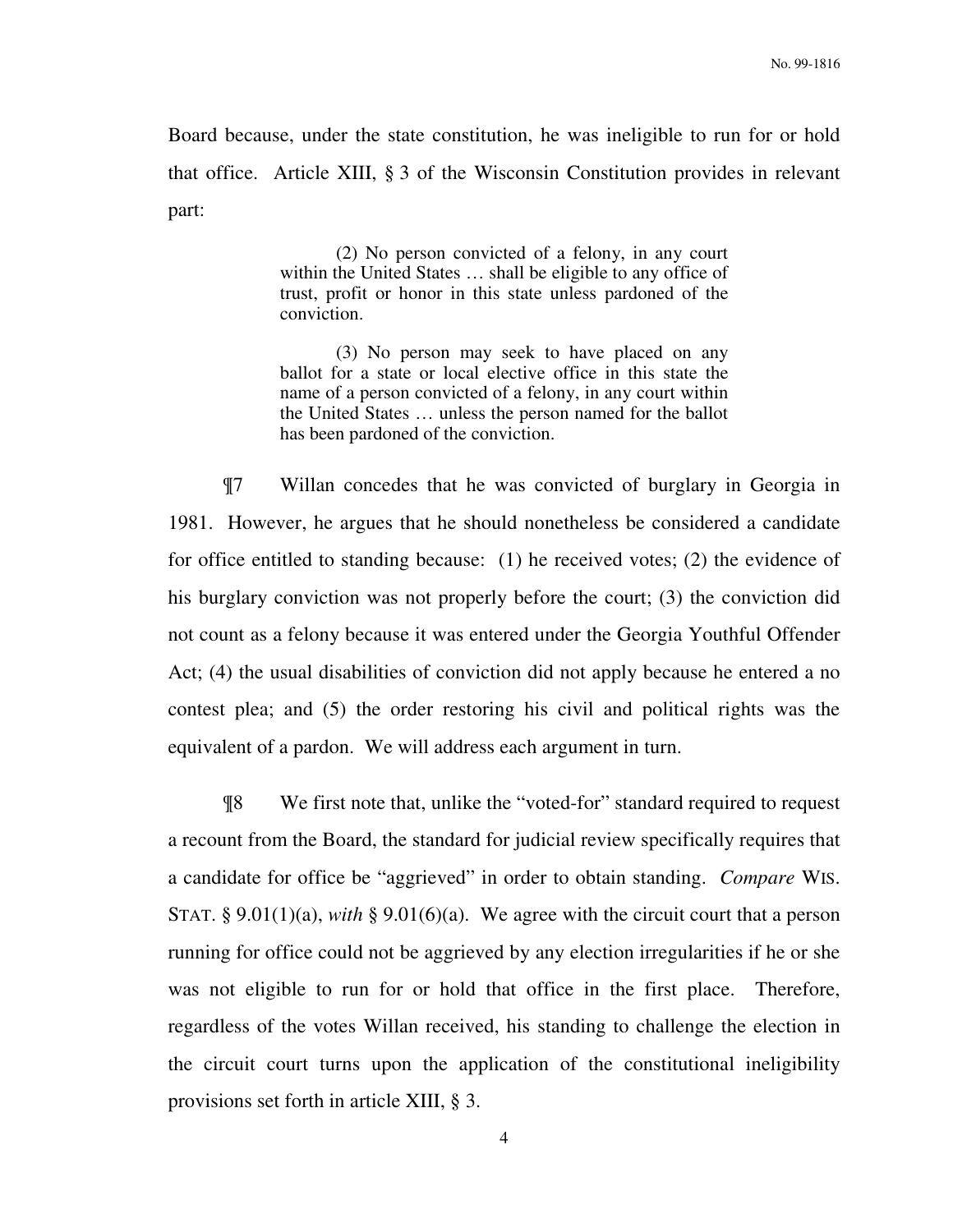Board because, under the state constitution, he was ineligible to run for or hold that office. Article XIII, § 3 of the Wisconsin Constitution provides in relevant part:

> (2) No person convicted of a felony, in any court within the United States … shall be eligible to any office of trust, profit or honor in this state unless pardoned of the conviction.

> (3) No person may seek to have placed on any ballot for a state or local elective office in this state the name of a person convicted of a felony, in any court within the United States … unless the person named for the ballot has been pardoned of the conviction.

¶7 Willan concedes that he was convicted of burglary in Georgia in 1981. However, he argues that he should nonetheless be considered a candidate for office entitled to standing because: (1) he received votes; (2) the evidence of his burglary conviction was not properly before the court; (3) the conviction did not count as a felony because it was entered under the Georgia Youthful Offender Act; (4) the usual disabilities of conviction did not apply because he entered a no contest plea; and (5) the order restoring his civil and political rights was the equivalent of a pardon. We will address each argument in turn.

¶8 We first note that, unlike the "voted-for" standard required to request a recount from the Board, the standard for judicial review specifically requires that a candidate for office be "aggrieved" in order to obtain standing. *Compare* WIS. STAT. § 9.01(1)(a), *with* § 9.01(6)(a). We agree with the circuit court that a person running for office could not be aggrieved by any election irregularities if he or she was not eligible to run for or hold that office in the first place. Therefore, regardless of the votes Willan received, his standing to challenge the election in the circuit court turns upon the application of the constitutional ineligibility provisions set forth in article XIII, § 3.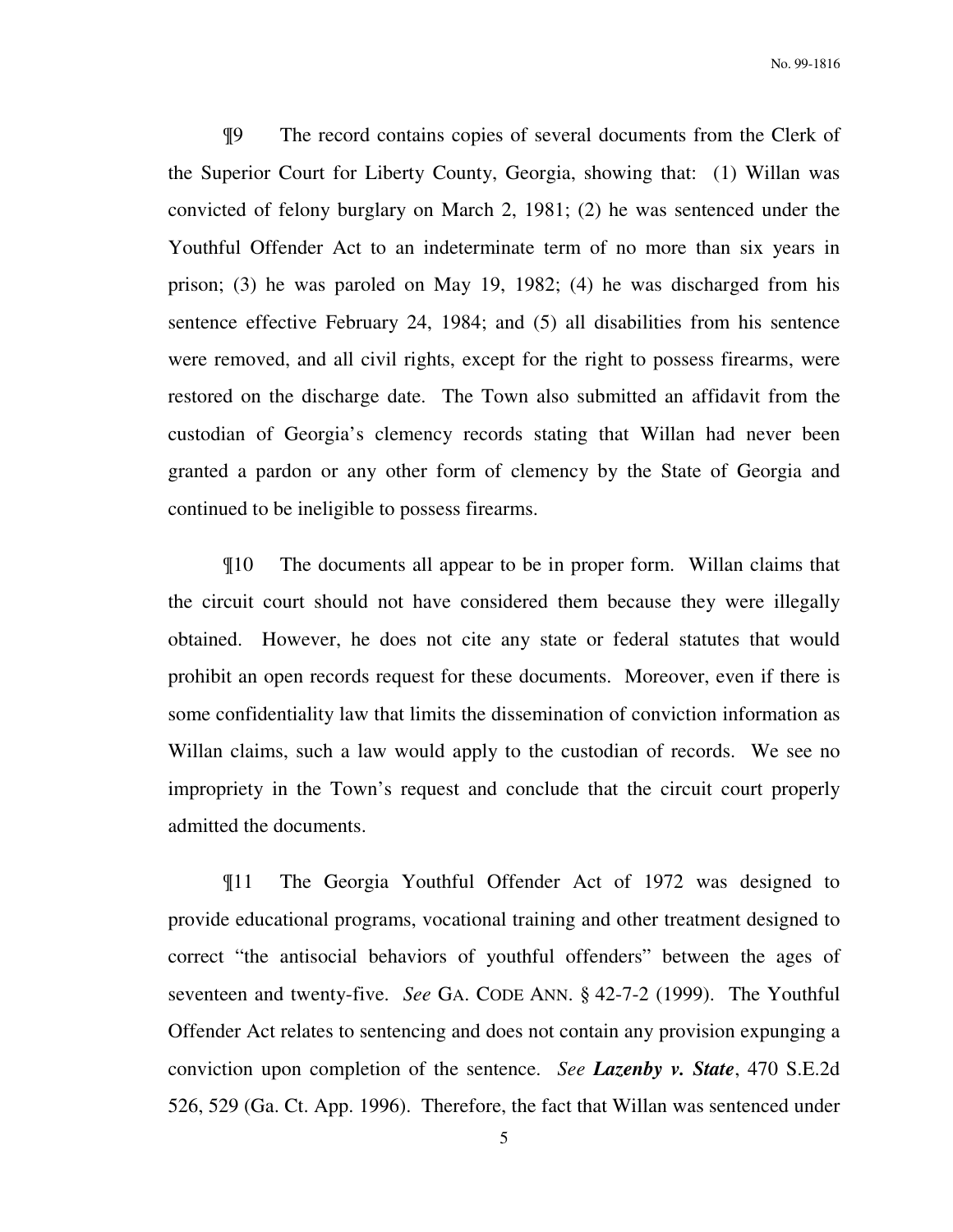¶9 The record contains copies of several documents from the Clerk of the Superior Court for Liberty County, Georgia, showing that: (1) Willan was convicted of felony burglary on March 2, 1981; (2) he was sentenced under the Youthful Offender Act to an indeterminate term of no more than six years in prison; (3) he was paroled on May 19, 1982; (4) he was discharged from his sentence effective February 24, 1984; and (5) all disabilities from his sentence were removed, and all civil rights, except for the right to possess firearms, were restored on the discharge date. The Town also submitted an affidavit from the custodian of Georgia's clemency records stating that Willan had never been granted a pardon or any other form of clemency by the State of Georgia and continued to be ineligible to possess firearms.

¶10 The documents all appear to be in proper form. Willan claims that the circuit court should not have considered them because they were illegally obtained. However, he does not cite any state or federal statutes that would prohibit an open records request for these documents. Moreover, even if there is some confidentiality law that limits the dissemination of conviction information as Willan claims, such a law would apply to the custodian of records. We see no impropriety in the Town's request and conclude that the circuit court properly admitted the documents.

¶11 The Georgia Youthful Offender Act of 1972 was designed to provide educational programs, vocational training and other treatment designed to correct "the antisocial behaviors of youthful offenders" between the ages of seventeen and twenty-five. *See* GA. CODE ANN. § 42-7-2 (1999). The Youthful Offender Act relates to sentencing and does not contain any provision expunging a conviction upon completion of the sentence. *See Lazenby v. State*, 470 S.E.2d 526, 529 (Ga. Ct. App. 1996). Therefore, the fact that Willan was sentenced under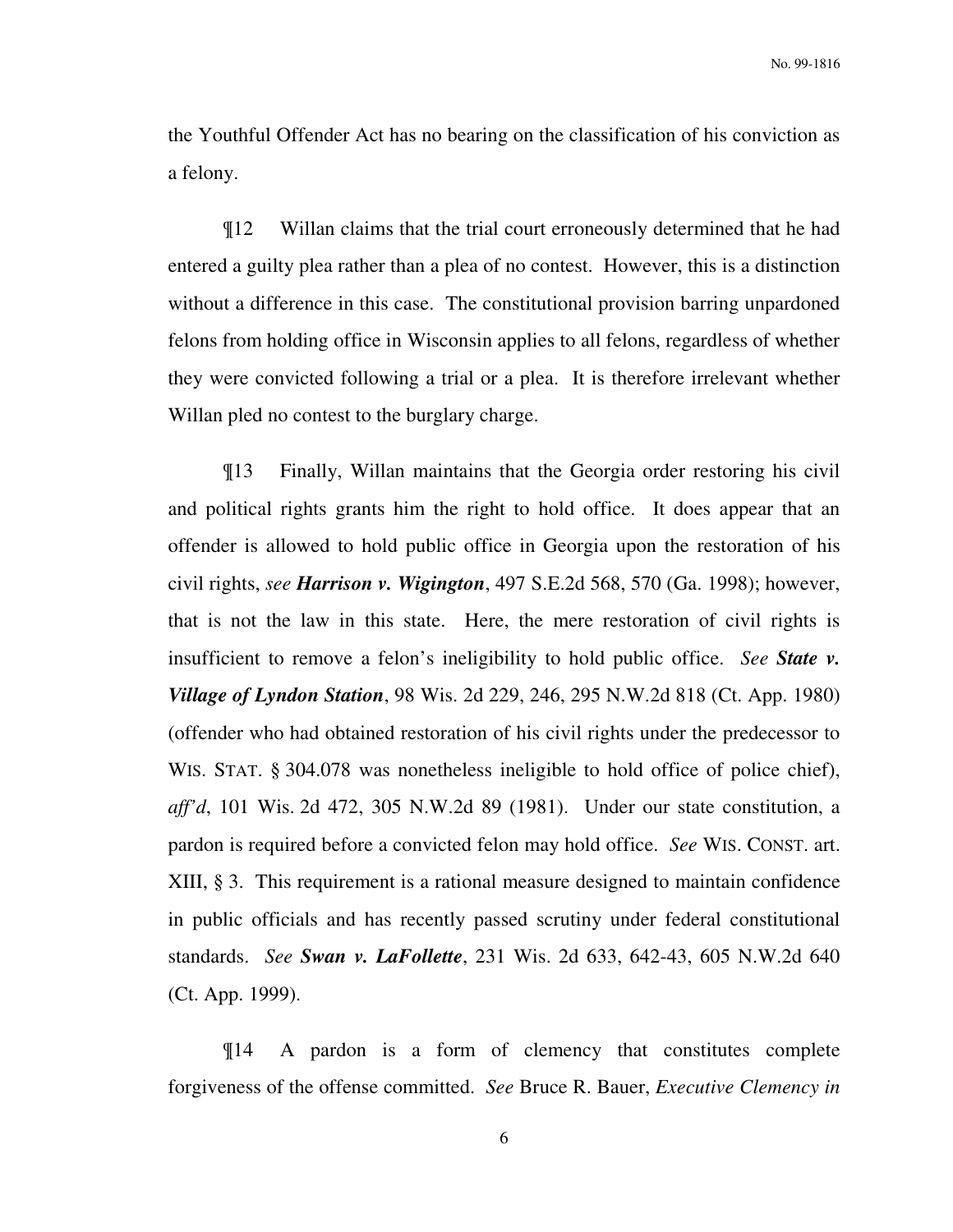the Youthful Offender Act has no bearing on the classification of his conviction as a felony.

¶12 Willan claims that the trial court erroneously determined that he had entered a guilty plea rather than a plea of no contest. However, this is a distinction without a difference in this case. The constitutional provision barring unpardoned felons from holding office in Wisconsin applies to all felons, regardless of whether they were convicted following a trial or a plea. It is therefore irrelevant whether Willan pled no contest to the burglary charge.

¶13 Finally, Willan maintains that the Georgia order restoring his civil and political rights grants him the right to hold office. It does appear that an offender is allowed to hold public office in Georgia upon the restoration of his civil rights, *see Harrison v. Wigington*, 497 S.E.2d 568, 570 (Ga. 1998); however, that is not the law in this state. Here, the mere restoration of civil rights is insufficient to remove a felon's ineligibility to hold public office. *See State v. Village of Lyndon Station*, 98 Wis. 2d 229, 246, 295 N.W.2d 818 (Ct. App. 1980) (offender who had obtained restoration of his civil rights under the predecessor to WIS. STAT. § 304.078 was nonetheless ineligible to hold office of police chief), *aff'd*, 101 Wis. 2d 472, 305 N.W.2d 89 (1981). Under our state constitution, a pardon is required before a convicted felon may hold office. *See* WIS. CONST. art. XIII, § 3. This requirement is a rational measure designed to maintain confidence in public officials and has recently passed scrutiny under federal constitutional standards. *See Swan v. LaFollette*, 231 Wis. 2d 633, 642-43, 605 N.W.2d 640 (Ct. App. 1999).

¶14 A pardon is a form of clemency that constitutes complete forgiveness of the offense committed. *See* Bruce R. Bauer, *Executive Clemency in*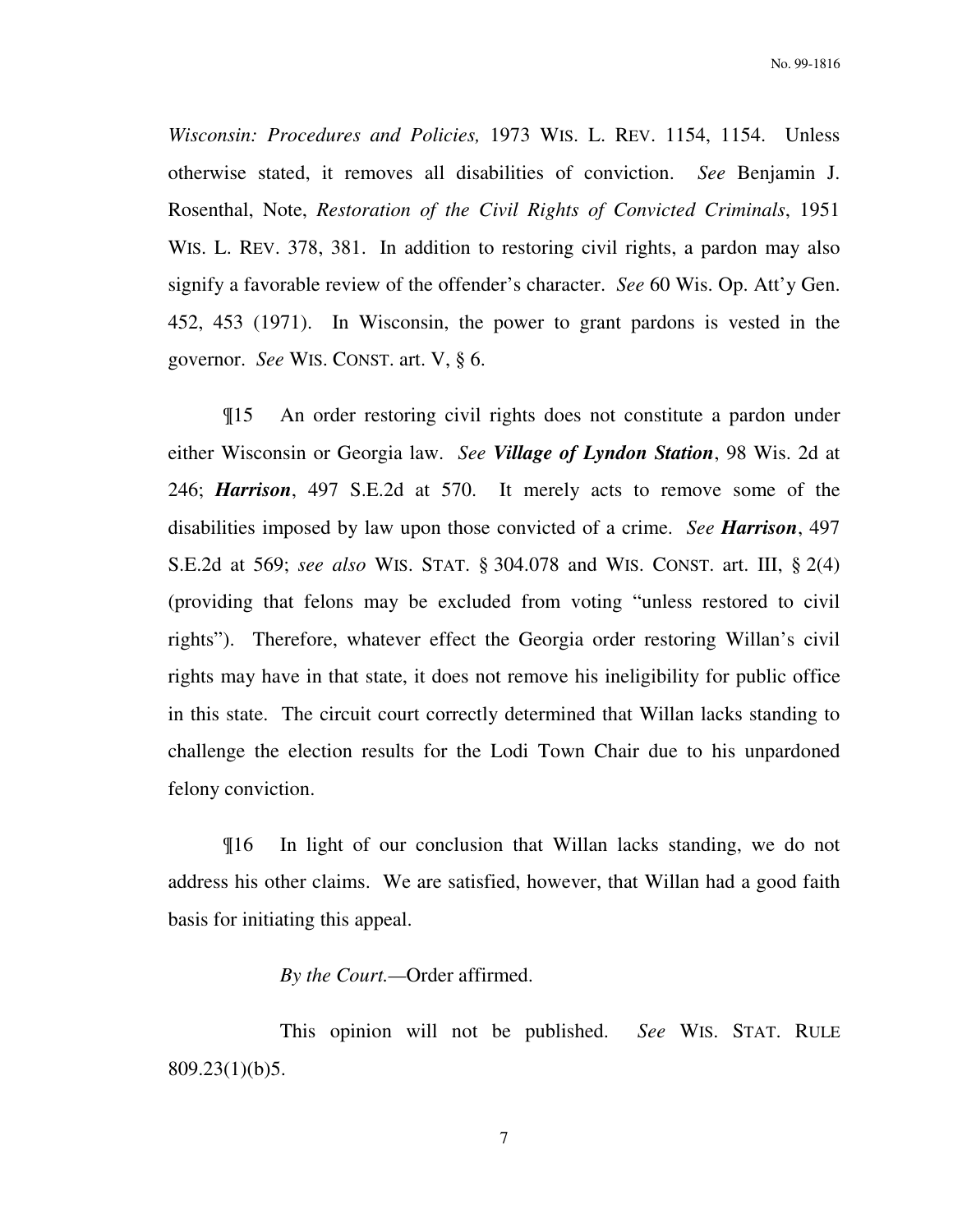*Wisconsin: Procedures and Policies,* 1973 WIS. L. REV. 1154, 1154. Unless otherwise stated, it removes all disabilities of conviction. *See* Benjamin J. Rosenthal, Note, *Restoration of the Civil Rights of Convicted Criminals*, 1951 WIS. L. REV. 378, 381. In addition to restoring civil rights, a pardon may also signify a favorable review of the offender's character. *See* 60 Wis. Op. Att'y Gen. 452, 453 (1971). In Wisconsin, the power to grant pardons is vested in the governor. *See* WIS. CONST. art. V, § 6.

¶15 An order restoring civil rights does not constitute a pardon under either Wisconsin or Georgia law. *See Village of Lyndon Station*, 98 Wis. 2d at 246; *Harrison*, 497 S.E.2d at 570. It merely acts to remove some of the disabilities imposed by law upon those convicted of a crime. *See Harrison*, 497 S.E.2d at 569; *see also* WIS. STAT. § 304.078 and WIS. CONST. art. III, § 2(4) (providing that felons may be excluded from voting "unless restored to civil rights"). Therefore, whatever effect the Georgia order restoring Willan's civil rights may have in that state, it does not remove his ineligibility for public office in this state. The circuit court correctly determined that Willan lacks standing to challenge the election results for the Lodi Town Chair due to his unpardoned felony conviction.

¶16 In light of our conclusion that Willan lacks standing, we do not address his other claims. We are satisfied, however, that Willan had a good faith basis for initiating this appeal.

# *By the Court.—*Order affirmed.

 This opinion will not be published. *See* WIS. STAT. RULE 809.23(1)(b)5.